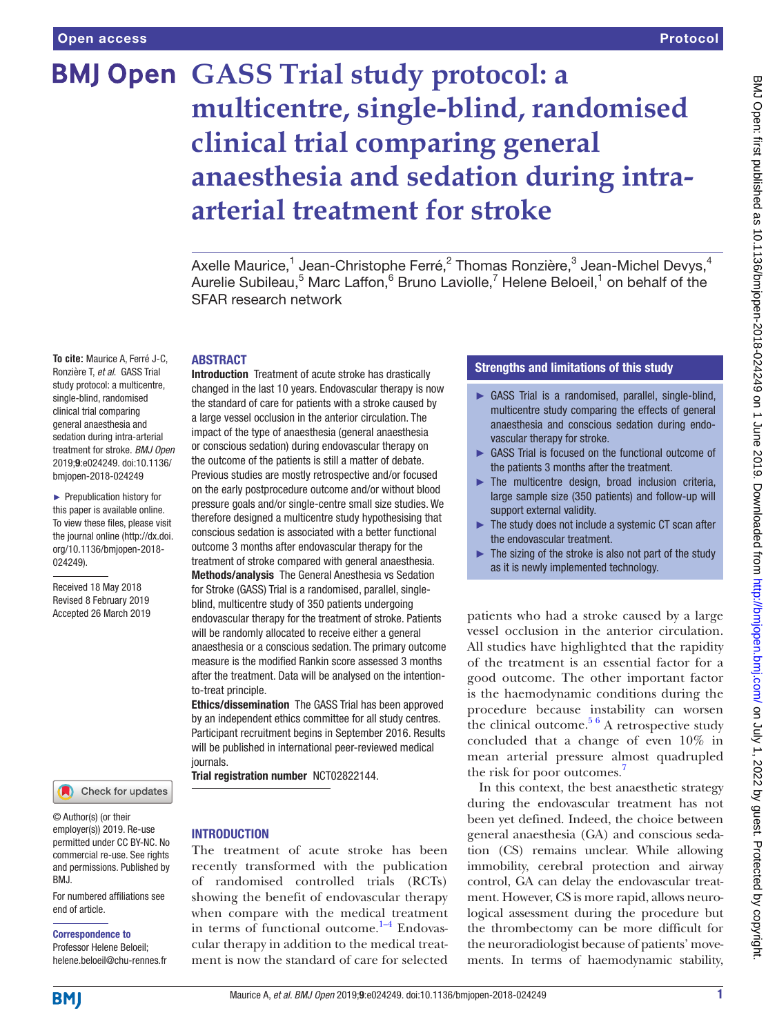# **BMJ Open GASS Trial study protocol: a multicentre, single-blind, randomised clinical trial comparing general anaesthesia and sedation during intraarterial treatment for stroke**

Axelle Maurice, $^1$  Jean-Christophe Ferré, $^2$  Thomas Ronzière, $^3$  Jean-Michel Devys, $^4$ Aurelie Subileau,<sup>5</sup> Marc Laffon,<sup>6</sup> Bruno Laviolle,<sup>7</sup> Helene Beloeil,<sup>1</sup> on behalf of the SFAR research network

#### **ABSTRACT**

**To cite:** Maurice A, Ferré J-C, Ronzière T, *et al*. GASS Trial study protocol: a multicentre, single-blind, randomised clinical trial comparing general anaesthesia and sedation during intra-arterial treatment for stroke. *BMJ Open* 2019;9:e024249. doi:10.1136/ bmjopen-2018-024249

► Prepublication history for this paper is available online. To view these files, please visit the journal online [\(http://dx.doi.](http://dx.doi.org/10.1136/bmjopen-2018-024249) [org/10.1136/bmjopen-2018-](http://dx.doi.org/10.1136/bmjopen-2018-024249) [024249\)](http://dx.doi.org/10.1136/bmjopen-2018-024249).

Received 18 May 2018 Revised 8 February 2019 Accepted 26 March 2019



© Author(s) (or their employer(s)) 2019. Re-use permitted under CC BY-NC. No commercial re-use. See rights and permissions. Published by BMJ.

For numbered affiliations see end of article.

#### Correspondence to

Professor Helene Beloeil; helene.beloeil@chu-rennes.fr Introduction Treatment of acute stroke has drastically changed in the last 10 years. Endovascular therapy is now the standard of care for patients with a stroke caused by a large vessel occlusion in the anterior circulation. The impact of the type of anaesthesia (general anaesthesia or conscious sedation) during endovascular therapy on the outcome of the patients is still a matter of debate. Previous studies are mostly retrospective and/or focused on the early postprocedure outcome and/or without blood pressure goals and/or single-centre small size studies. We therefore designed a multicentre study hypothesising that conscious sedation is associated with a better functional outcome 3 months after endovascular therapy for the treatment of stroke compared with general anaesthesia. Methods/analysis The General Anesthesia vs Sedation for Stroke (GASS) Trial is a randomised, parallel, singleblind, multicentre study of 350 patients undergoing endovascular therapy for the treatment of stroke. Patients

will be randomly allocated to receive either a general anaesthesia or a conscious sedation. The primary outcome measure is the modified Rankin score assessed 3 months after the treatment. Data will be analysed on the intentionto-treat principle.

Ethics/dissemination The GASS Trial has been approved by an independent ethics committee for all study centres. Participant recruitment begins in September 2016. Results will be published in international peer-reviewed medical journals.

Trial registration number <NCT02822144>.

#### **INTRODUCTION**

The treatment of acute stroke has been recently transformed with the publication of randomised controlled trials (RCTs) showing the benefit of endovascular therapy when compare with the medical treatment in terms of functional outcome. $1-4$  Endovascular therapy in addition to the medical treatment is now the standard of care for selected

# Strengths and limitations of this study

- ► GASS Trial is a randomised, parallel, single-blind, multicentre study comparing the effects of general anaesthesia and conscious sedation during endovascular therapy for stroke.
- ► GASS Trial is focused on the functional outcome of the patients 3 months after the treatment.
- ► The multicentre design, broad inclusion criteria, large sample size (350 patients) and follow-up will support external validity.
- ► The study does not include a systemic CT scan after the endovascular treatment.
- $\blacktriangleright$  The sizing of the stroke is also not part of the study as it is newly implemented technology.

patients who had a stroke caused by a large vessel occlusion in the anterior circulation. All studies have highlighted that the rapidity of the treatment is an essential factor for a good outcome. The other important factor is the haemodynamic conditions during the procedure because instability can worsen the clinical outcome.<sup>5 6</sup> A retrospective study concluded that a change of even 10% in mean arterial pressure almost quadrupled the risk for poor outcomes.<sup>[7](#page-5-2)</sup>

In this context, the best anaesthetic strategy during the endovascular treatment has not been yet defined. Indeed, the choice between general anaesthesia (GA) and conscious sedation (CS) remains unclear. While allowing immobility, cerebral protection and airway control, GA can delay the endovascular treatment. However, CS is more rapid, allows neurological assessment during the procedure but the thrombectomy can be more difficult for the neuroradiologist because of patients' movements. In terms of haemodynamic stability,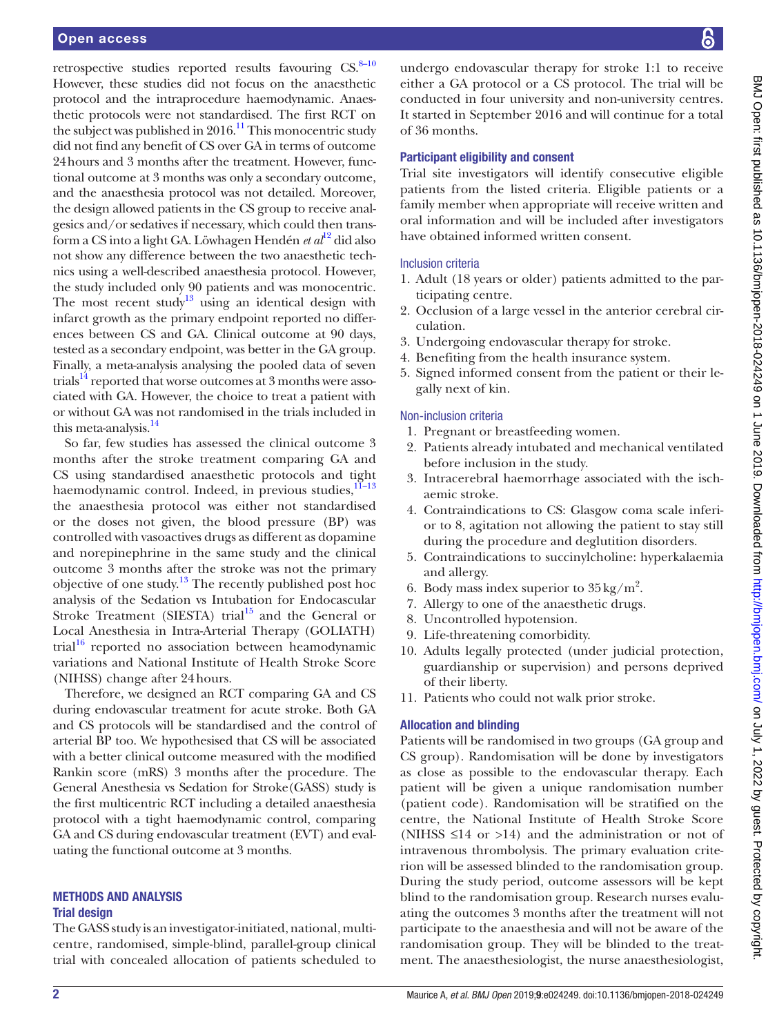retrospective studies reported results favouring  $CS$ .<sup>8–10</sup> However, these studies did not focus on the anaesthetic protocol and the intraprocedure haemodynamic. Anaesthetic protocols were not standardised. The first RCT on the subject was published in  $2016$ .<sup>11</sup> This monocentric study did not find any benefit of CS over GA in terms of outcome 24hours and 3 months after the treatment. However, functional outcome at 3 months was only a secondary outcome, and the anaesthesia protocol was not detailed. Moreover, the design allowed patients in the CS group to receive analgesics and/or sedatives if necessary, which could then transform a CS into a light GA. Löwhagen Hendén *et al*[12](#page-5-5) did also not show any difference between the two anaesthetic technics using a well-described anaesthesia protocol. However, the study included only 90 patients and was monocentric. The most recent study<sup>[13](#page-5-6)</sup> using an identical design with infarct growth as the primary endpoint reported no differences between CS and GA. Clinical outcome at 90 days, tested as a secondary endpoint, was better in the GA group. Finally, a meta-analysis analysing the pooled data of seven trials<sup>[14](#page-5-7)</sup> reported that worse outcomes at 3 months were associated with GA. However, the choice to treat a patient with or without GA was not randomised in the trials included in this meta-analysis. $14$ 

So far, few studies has assessed the clinical outcome 3 months after the stroke treatment comparing GA and CS using standardised anaesthetic protocols and tight haemodynamic control. Indeed, in previous studies, $11-13$ the anaesthesia protocol was either not standardised or the doses not given, the blood pressure (BP) was controlled with vasoactives drugs as different as dopamine and norepinephrine in the same study and the clinical outcome 3 months after the stroke was not the primary objective of one study.[13](#page-5-6) The recently published post hoc analysis of the Sedation vs Intubation for Endocascular Stroke Treatment (SIESTA) trial<sup>[15](#page-5-8)</sup> and the General or Local Anesthesia in Intra-Arterial Therapy (GOLIATH) trial $1^{16}$  reported no association between heamodynamic variations and National Institute of Health Stroke Score (NIHSS) change after 24hours.

Therefore, we designed an RCT comparing GA and CS during endovascular treatment for acute stroke. Both GA and CS protocols will be standardised and the control of arterial BP too. We hypothesised that CS will be associated with a better clinical outcome measured with the modified Rankin score (mRS) 3 months after the procedure. The General Anesthesia vs Sedation for Stroke(GASS) study is the first multicentric RCT including a detailed anaesthesia protocol with a tight haemodynamic control, comparing GA and CS during endovascular treatment (EVT) and evaluating the functional outcome at 3 months.

# Methods and analysis

#### Trial design

The GASS study is an investigator-initiated, national, multicentre, randomised, simple-blind, parallel-group clinical trial with concealed allocation of patients scheduled to

undergo endovascular therapy for stroke 1:1 to receive either a GA protocol or a CS protocol. The trial will be conducted in four university and non-university centres. It started in September 2016 and will continue for a total of 36 months.

#### Participant eligibility and consent

Trial site investigators will identify consecutive eligible patients from the listed criteria. Eligible patients or a family member when appropriate will receive written and oral information and will be included after investigators have obtained informed written consent.

### Inclusion criteria

- 1. Adult (18 years or older) patients admitted to the participating centre.
- 2. Occlusion of a large vessel in the anterior cerebral circulation.
- 3. Undergoing endovascular therapy for stroke.
- 4. Benefiting from the health insurance system.
- 5. Signed informed consent from the patient or their legally next of kin.

### Non-inclusion criteria

- 1. Pregnant or breastfeeding women.
- 2. Patients already intubated and mechanical ventilated before inclusion in the study.
- 3. Intracerebral haemorrhage associated with the ischaemic stroke.
- 4. Contraindications to CS: Glasgow coma scale inferior to 8, agitation not allowing the patient to stay still during the procedure and deglutition disorders.
- 5. Contraindications to succinylcholine: hyperkalaemia and allergy.
- 6. Body mass index superior to  $35 \text{ kg/m}^2$ .
- 7. Allergy to one of the anaesthetic drugs.
- 8. Uncontrolled hypotension.
- 9. Life-threatening comorbidity.
- 10. Adults legally protected (under judicial protection, guardianship or supervision) and persons deprived of their liberty.
- 11. Patients who could not walk prior stroke.

#### Allocation and blinding

Patients will be randomised in two groups (GA group and CS group). Randomisation will be done by investigators as close as possible to the endovascular therapy. Each patient will be given a unique randomisation number (patient code). Randomisation will be stratified on the centre, the National Institute of Health Stroke Score (NIHSS  $\leq$ 14 or  $>14$ ) and the administration or not of intravenous thrombolysis. The primary evaluation criterion will be assessed blinded to the randomisation group. During the study period, outcome assessors will be kept blind to the randomisation group. Research nurses evaluating the outcomes 3 months after the treatment will not participate to the anaesthesia and will not be aware of the randomisation group. They will be blinded to the treatment. The anaesthesiologist, the nurse anaesthesiologist,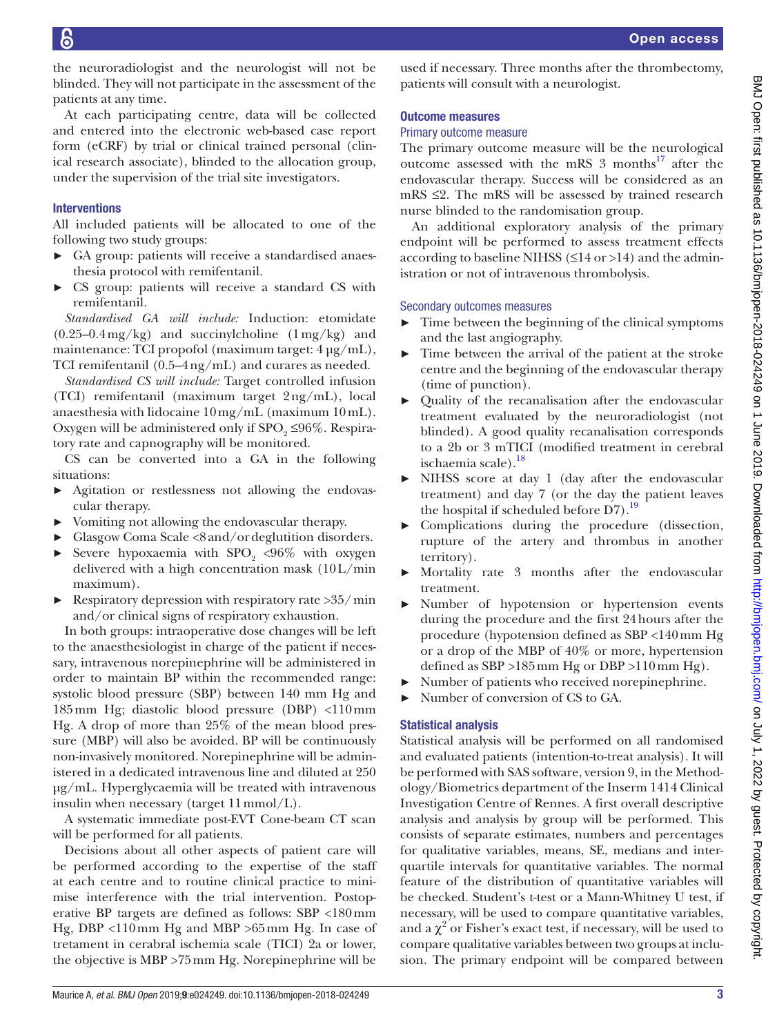the neuroradiologist and the neurologist will not be blinded. They will not participate in the assessment of the patients at any time.

At each participating centre, data will be collected and entered into the electronic web-based case report form (eCRF) by trial or clinical trained personal (clinical research associate), blinded to the allocation group, under the supervision of the trial site investigators.

# **Interventions**

All included patients will be allocated to one of the following two study groups:

- ► GA group: patients will receive a standardised anaesthesia protocol with remifentanil.
- ► CS group: patients will receive a standard CS with remifentanil.

*Standardised GA will include:* Induction: etomidate  $(0.25-0.4 \,\text{mg/kg})$  and succinylcholine  $(1 \,\text{mg/kg})$  and maintenance: TCI propofol (maximum target:  $4 \mu g/mL$ ), TCI remifentanil (0.5–4ng/mL) and curares as needed.

*Standardised CS will include:* Target controlled infusion (TCI) remifentanil (maximum target 2ng/mL), local anaesthesia with lidocaine 10mg/mL (maximum 10mL). Oxygen will be administered only if  $SPO<sub>9</sub> \leq 96\%$ . Respiratory rate and capnography will be monitored.

CS can be converted into a GA in the following situations:

- ► Agitation or restlessness not allowing the endovascular therapy.
- ► Vomiting not allowing the endovascular therapy.
- ► Glasgow Coma Scale <8and/ordeglutition disorders.
- ► Severe hypoxaemia with  $SPO<sub>2</sub>$  <96% with oxygen delivered with a high concentration mask (10L/min maximum).
- $\blacktriangleright$  Respiratory depression with respiratory rate >35/min and/or clinical signs of respiratory exhaustion.

In both groups: intraoperative dose changes will be left to the anaesthesiologist in charge of the patient if necessary, intravenous norepinephrine will be administered in order to maintain BP within the recommended range: systolic blood pressure (SBP) between 140 mm Hg and 185mm Hg; diastolic blood pressure (DBP) <110mm Hg. A drop of more than 25% of the mean blood pressure (MBP) will also be avoided. BP will be continuously non-invasively monitored. Norepinephrine will be administered in a dedicated intravenous line and diluted at 250 µg/mL. Hyperglycaemia will be treated with intravenous insulin when necessary (target 11mmol/L).

A systematic immediate post-EVT Cone-beam CT scan will be performed for all patients.

Decisions about all other aspects of patient care will be performed according to the expertise of the staff at each centre and to routine clinical practice to minimise interference with the trial intervention. Postoperative BP targets are defined as follows: SBP <180mm Hg, DBP <110mm Hg and MBP >65mm Hg. In case of tretament in cerabral ischemia scale (TICI) 2a or lower, the objective is MBP >75mm Hg. Norepinephrine will be

used if necessary. Three months after the thrombectomy, patients will consult with a neurologist.

#### Outcome measures

# Primary outcome measure

The primary outcome measure will be the neurological outcome assessed with the mRS  $3$  months<sup>17</sup> after the endovascular therapy. Success will be considered as an  $mRS \leq 2$ . The mRS will be assessed by trained research nurse blinded to the randomisation group.

An additional exploratory analysis of the primary endpoint will be performed to assess treatment effects according to baseline NIHSS ( $\leq$ 14 or >14) and the administration or not of intravenous thrombolysis.

# Secondary outcomes measures

- $\blacktriangleright$  Time between the beginning of the clinical symptoms and the last angiography.
- ► Time between the arrival of the patient at the stroke centre and the beginning of the endovascular therapy (time of punction).
- ► Quality of the recanalisation after the endovascular treatment evaluated by the neuroradiologist (not blinded). A good quality recanalisation corresponds to a 2b or 3 mTICI (modified treatment in cerebral ischaemia scale).<sup>[18](#page-5-11)</sup>
- NIHSS score at day 1 (day after the endovascular treatment) and day 7 (or the day the patient leaves the hospital if scheduled before  $D7$ ).<sup>[19](#page-5-12)</sup>
- ► Complications during the procedure (dissection, rupture of the artery and thrombus in another territory).
- Mortality rate 3 months after the endovascular treatment.
- ► Number of hypotension or hypertension events during the procedure and the first 24hours after the procedure (hypotension defined as SBP <140mm Hg or a drop of the MBP of 40% or more, hypertension defined as SBP >185mm Hg or DBP >110mm Hg).
- Number of patients who received norepinephrine.
- ► Number of conversion of CS to GA.

# Statistical analysis

Statistical analysis will be performed on all randomised and evaluated patients (intention-to-treat analysis). It will be performed with SAS software, version 9, in the Methodology/Biometrics department of the Inserm 1414 Clinical Investigation Centre of Rennes. A first overall descriptive analysis and analysis by group will be performed. This consists of separate estimates, numbers and percentages for qualitative variables, means, SE, medians and interquartile intervals for quantitative variables. The normal feature of the distribution of quantitative variables will be checked. Student's t-test or a Mann-Whitney U test, if necessary, will be used to compare quantitative variables, and a  $\chi^2$  or Fisher's exact test, if necessary, will be used to compare qualitative variables between two groups at inclusion. The primary endpoint will be compared between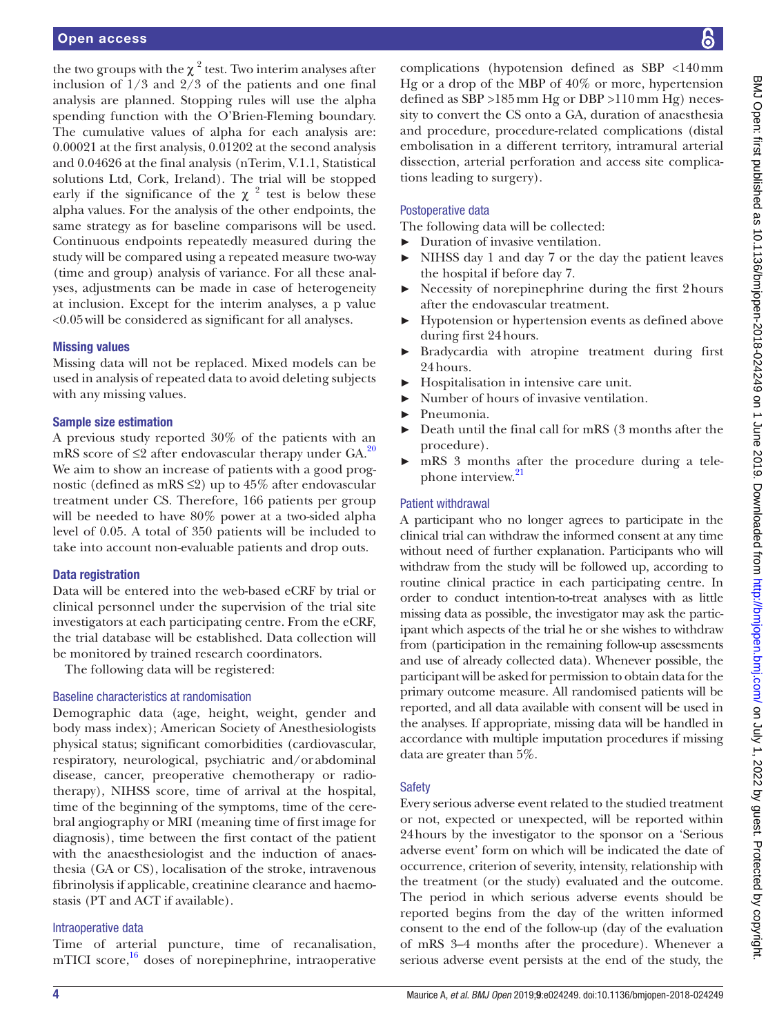the two groups with the  $\chi^2$  test. Two interim analyses after inclusion of 1/3 and 2/3 of the patients and one final analysis are planned. Stopping rules will use the alpha spending function with the O'Brien-Fleming boundary. The cumulative values of alpha for each analysis are: 0.00021 at the first analysis, 0.01202 at the second analysis and 0.04626 at the final analysis (nTerim, V.1.1, Statistical solutions Ltd, Cork, Ireland). The trial will be stopped early if the significance of the  $\chi^2$  test is below these alpha values. For the analysis of the other endpoints, the same strategy as for baseline comparisons will be used. Continuous endpoints repeatedly measured during the study will be compared using a repeated measure two-way (time and group) analysis of variance. For all these analyses, adjustments can be made in case of heterogeneity at inclusion. Except for the interim analyses, a p value <0.05will be considered as significant for all analyses.

#### Missing values

Missing data will not be replaced. Mixed models can be used in analysis of repeated data to avoid deleting subjects with any missing values.

#### Sample size estimation

A previous study reported 30% of the patients with an mRS score of  $\leq$ 2 after endovascular therapy under GA.<sup>[20](#page-5-13)</sup> We aim to show an increase of patients with a good prognostic (defined as mRS  $\leq$ 2) up to 45% after endovascular treatment under CS. Therefore, 166 patients per group will be needed to have 80% power at a two-sided alpha level of 0.05. A total of 350 patients will be included to take into account non-evaluable patients and drop outs.

#### Data registration

Data will be entered into the web-based eCRF by trial or clinical personnel under the supervision of the trial site investigators at each participating centre. From the eCRF, the trial database will be established. Data collection will be monitored by trained research coordinators.

The following data will be registered:

#### Baseline characteristics at randomisation

Demographic data (age, height, weight, gender and body mass index); American Society of Anesthesiologists physical status; significant comorbidities (cardiovascular, respiratory, neurological, psychiatric and/or abdominal disease, cancer, preoperative chemotherapy or radiotherapy), NIHSS score, time of arrival at the hospital, time of the beginning of the symptoms, time of the cerebral angiography or MRI (meaning time of first image for diagnosis), time between the first contact of the patient with the anaesthesiologist and the induction of anaesthesia (GA or CS), localisation of the stroke, intravenous fibrinolysis if applicable, creatinine clearance and haemostasis (PT and ACT if available).

#### Intraoperative data

Time of arterial puncture, time of recanalisation, mTICI score, $16$  doses of norepinephrine, intraoperative

complications (hypotension defined as SBP <140mm Hg or a drop of the MBP of 40% or more, hypertension defined as SBP >185mm Hg or DBP >110mm Hg) necessity to convert the CS onto a GA, duration of anaesthesia and procedure, procedure-related complications (distal embolisation in a different territory, intramural arterial dissection, arterial perforation and access site complications leading to surgery).

#### Postoperative data

The following data will be collected:

- ► Duration of invasive ventilation.
- NIHSS day 1 and day 7 or the day the patient leaves the hospital if before day 7.
- ► Necessity of norepinephrine during the first 2hours after the endovascular treatment.
- Hypotension or hypertension events as defined above during first 24hours.
- ► Bradycardia with atropine treatment during first 24hours.
- ► Hospitalisation in intensive care unit.
- Number of hours of invasive ventilation.
- Pneumonia.
- Death until the final call for mRS (3 months after the procedure).
- ► mRS 3 months after the procedure during a tele-phone interview.<sup>[21](#page-5-14)</sup>

#### Patient withdrawal

A participant who no longer agrees to participate in the clinical trial can withdraw the informed consent at any time without need of further explanation. Participants who will withdraw from the study will be followed up, according to routine clinical practice in each participating centre. In order to conduct intention-to-treat analyses with as little missing data as possible, the investigator may ask the participant which aspects of the trial he or she wishes to withdraw from (participation in the remaining follow-up assessments and use of already collected data). Whenever possible, the participant will be asked for permission to obtain data for the primary outcome measure. All randomised patients will be reported, and all data available with consent will be used in the analyses. If appropriate, missing data will be handled in accordance with multiple imputation procedures if missing data are greater than 5%.

#### **Safety**

Every serious adverse event related to the studied treatment or not, expected or unexpected, will be reported within 24hours by the investigator to the sponsor on a 'Serious adverse event' form on which will be indicated the date of occurrence, criterion of severity, intensity, relationship with the treatment (or the study) evaluated and the outcome. The period in which serious adverse events should be reported begins from the day of the written informed consent to the end of the follow-up (day of the evaluation of mRS 3–4 months after the procedure). Whenever a serious adverse event persists at the end of the study, the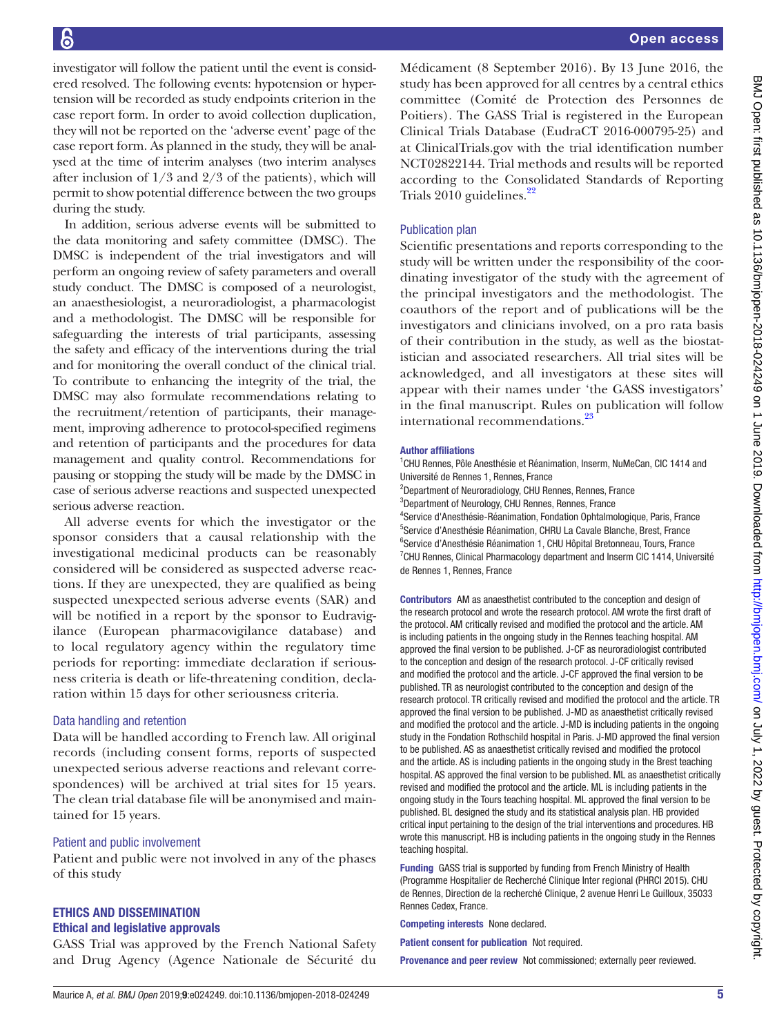investigator will follow the patient until the event is considered resolved. The following events: hypotension or hypertension will be recorded as study endpoints criterion in the case report form. In order to avoid collection duplication, they will not be reported on the 'adverse event' page of the case report form. As planned in the study, they will be analysed at the time of interim analyses (two interim analyses after inclusion of  $1/3$  and  $2/3$  of the patients), which will permit to show potential difference between the two groups during the study.

In addition, serious adverse events will be submitted to the data monitoring and safety committee (DMSC). The DMSC is independent of the trial investigators and will perform an ongoing review of safety parameters and overall study conduct. The DMSC is composed of a neurologist, an anaesthesiologist, a neuroradiologist, a pharmacologist and a methodologist. The DMSC will be responsible for safeguarding the interests of trial participants, assessing the safety and efficacy of the interventions during the trial and for monitoring the overall conduct of the clinical trial. To contribute to enhancing the integrity of the trial, the DMSC may also formulate recommendations relating to the recruitment/retention of participants, their management, improving adherence to protocol-specified regimens and retention of participants and the procedures for data management and quality control. Recommendations for pausing or stopping the study will be made by the DMSC in case of serious adverse reactions and suspected unexpected serious adverse reaction.

All adverse events for which the investigator or the sponsor considers that a causal relationship with the investigational medicinal products can be reasonably considered will be considered as suspected adverse reactions. If they are unexpected, they are qualified as being suspected unexpected serious adverse events (SAR) and will be notified in a report by the sponsor to Eudravigilance (European pharmacovigilance database) and to local regulatory agency within the regulatory time periods for reporting: immediate declaration if seriousness criteria is death or life-threatening condition, declaration within 15 days for other seriousness criteria.

#### Data handling and retention

Data will be handled according to French law. All original records (including consent forms, reports of suspected unexpected serious adverse reactions and relevant correspondences) will be archived at trial sites for 15 years. The clean trial database file will be anonymised and maintained for 15 years.

#### Patient and public involvement

Patient and public were not involved in any of the phases of this study

# Ethics and dissemination

#### Ethical and legislative approvals

GASS Trial was approved by the French National Safety and Drug Agency (Agence Nationale de Sécurité du

Médicament (8 September 2016). By 13 June 2016, the study has been approved for all centres by a central ethics committee (Comité de Protection des Personnes de Poitiers). The GASS Trial is registered in the European Clinical Trials Database (EudraCT 2016-000795-25) and at ClinicalTrials.gov with the trial identification number NCT02822144. Trial methods and results will be reported according to the Consolidated Standards of Reporting Trials  $2010$  guidelines.<sup>[22](#page-5-15)</sup>

#### Publication plan

Scientific presentations and reports corresponding to the study will be written under the responsibility of the coordinating investigator of the study with the agreement of the principal investigators and the methodologist. The coauthors of the report and of publications will be the investigators and clinicians involved, on a pro rata basis of their contribution in the study, as well as the biostatistician and associated researchers. All trial sites will be acknowledged, and all investigators at these sites will appear with their names under 'the GASS investigators' in the final manuscript. Rules on publication will follow international recommendations.<sup>23</sup>

#### Author affiliations

<sup>1</sup>CHU Rennes, Pôle Anesthésie et Réanimation, Inserm, NuMeCan, CIC 1414 and Université de Rennes 1, Rennes, France

<sup>2</sup>Department of Neuroradiology, CHU Rennes, Rennes, France

3 Department of Neurology, CHU Rennes, Rennes, France 4 Service d'Anesthésie-Réanimation, Fondation Ophtalmologique, Paris, France 5 Service d'Anesthésie Réanimation, CHRU La Cavale Blanche, Brest, France <sup>6</sup>Service d'Anesthésie Réanimation 1, CHU Hôpital Bretonneau, Tours, France <sup>7</sup>CHU Rennes, Clinical Pharmacology department and Inserm CIC 1414, Université de Rennes 1, Rennes, France

Contributors AM as anaesthetist contributed to the conception and design of the research protocol and wrote the research protocol. AM wrote the first draft of the protocol. AM critically revised and modified the protocol and the article. AM is including patients in the ongoing study in the Rennes teaching hospital. AM approved the final version to be published. J-CF as neuroradiologist contributed to the conception and design of the research protocol. J-CF critically revised and modified the protocol and the article. J-CF approved the final version to be published. TR as neurologist contributed to the conception and design of the research protocol. TR critically revised and modified the protocol and the article. TR approved the final version to be published. J-MD as anaesthetist critically revised and modified the protocol and the article. J-MD is including patients in the ongoing study in the Fondation Rothschild hospital in Paris. J-MD approved the final version to be published. AS as anaesthetist critically revised and modified the protocol and the article. AS is including patients in the ongoing study in the Brest teaching hospital. AS approved the final version to be published. ML as anaesthetist critically revised and modified the protocol and the article. ML is including patients in the ongoing study in the Tours teaching hospital. ML approved the final version to be published. BL designed the study and its statistical analysis plan. HB provided critical input pertaining to the design of the trial interventions and procedures. HB wrote this manuscript. HB is including patients in the ongoing study in the Rennes teaching hospital.

Funding GASS trial is supported by funding from French Ministry of Health (Programme Hospitalier de Recherché Clinique Inter regional (PHRCI 2015). CHU de Rennes, Direction de la recherché Clinique, 2 avenue Henri Le Guilloux, 35033 Rennes Cedex, France.

Competing interests None declared.

Patient consent for publication Not required.

Provenance and peer review Not commissioned; externally peer reviewed.